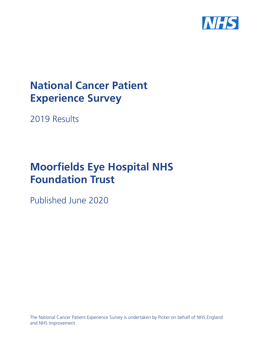

# **National Cancer Patient Experience Survey**

2019 Results

# **Moorfields Eye Hospital NHS Foundation Trust**

Published June 2020

The National Cancer Patient Experience Survey is undertaken by Picker on behalf of NHS England and NHS Improvement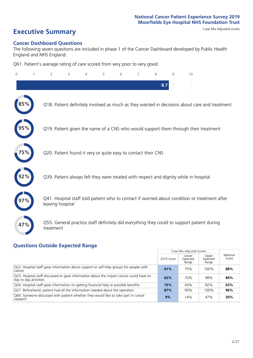# **Executive Summary** Case Mix Adjusted scores

#### **Cancer Dashboard Questions**

The following seven questions are included in phase 1 of the Cancer Dashboard developed by Public Health England and NHS England:

Q61. Patient's average rating of care scored from very poor to very good

| $\Omega$ | 2                                                             | 3 | 4 | 5 | 6 | 7 | 8   | 9 | 10                                                                                            |
|----------|---------------------------------------------------------------|---|---|---|---|---|-----|---|-----------------------------------------------------------------------------------------------|
|          |                                                               |   |   |   |   |   | 8.7 |   |                                                                                               |
|          |                                                               |   |   |   |   |   |     |   | Q18. Patient definitely involved as much as they wanted in decisions about care and treatment |
|          |                                                               |   |   |   |   |   |     |   | Q19. Patient given the name of a CNS who would support them through their treatment           |
| 5%       | Q20. Patient found it very or quite easy to contact their CNS |   |   |   |   |   |     |   |                                                                                               |
|          |                                                               |   |   |   |   |   |     |   | Q39. Patient always felt they were treated with respect and dignity while in hospital         |
|          | leaving hospital                                              |   |   |   |   |   |     |   | Q41. Hospital staff told patient who to contact if worried about condition or treatment after |
| 47%      | treatment                                                     |   |   |   |   |   |     |   | Q55. General practice staff definitely did everything they could to support patient during    |

### **Questions Outside Expected Range**

|                                                                                                                  |            | Case Mix Adjusted Scores   |                            |                   |
|------------------------------------------------------------------------------------------------------------------|------------|----------------------------|----------------------------|-------------------|
|                                                                                                                  | 2019 Score | Lower<br>Expected<br>Range | Upper<br>Expected<br>Range | National<br>Score |
| Q22. Hospital staff gave information about support or self-help groups for people with<br>cancer                 | 61%        | 75%                        | 100%                       | 88%               |
| Q23. Hospital staff discussed or gave information about the impact cancer could have on<br>day to day activities | 62%        | 70%                        | 98%                        | 84%               |
| Q24. Hospital staff gave information on getting financial help or possible benefits                              | 15%        | 43%                        | 82%                        | 63%               |
| Q27. Beforehand, patient had all the information needed about the operation                                      | 87%        | 90%                        | 100%                       | 96%               |
| Q60. Someone discussed with patient whether they would like to take part in cancer<br>research                   | 9%         | 14%                        | 47%                        | 30%               |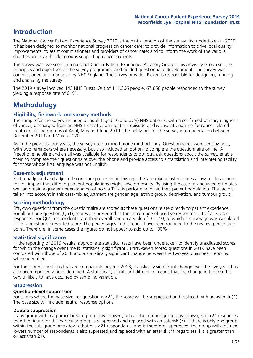## **Introduction**

The National Cancer Patient Experience Survey 2019 is the ninth iteration of the survey first undertaken in 2010. It has been designed to monitor national progress on cancer care; to provide information to drive local quality improvements; to assist commissioners and providers of cancer care; and to inform the work of the various charities and stakeholder groups supporting cancer patients.

The survey was overseen by a national Cancer Patient Experience Advisory Group. This Advisory Group set the principles and objectives of the survey programme and guided questionnaire development. The survey was commissioned and managed by NHS England. The survey provider, Picker, is responsible for designing, running and analysing the survey.

The 2019 survey involved 143 NHS Trusts. Out of 111,366 people, 67,858 people responded to the survey, yielding a response rate of 61%.

# **Methodology**

#### **Eligibility, eldwork and survey methods**

The sample for the survey included all adult (aged 16 and over) NHS patients, with a confirmed primary diagnosis of cancer, discharged from an NHS Trust after an inpatient episode or day case attendance for cancer related treatment in the months of April, May and June 2019. The fieldwork for the survey was undertaken between December 2019 and March 2020.

As in the previous four years, the survey used a mixed mode methodology. Questionnaires were sent by post, with two reminders where necessary, but also included an option to complete the questionnaire online. A Freephone helpline and email was available for respondents to opt out, ask questions about the survey, enable them to complete their questionnaire over the phone and provide access to a translation and interpreting facility for those whose first language was not English.

#### **Case-mix adjustment**

Both unadjusted and adjusted scores are presented in this report. Case-mix adjusted scores allows us to account for the impact that differing patient populations might have on results. By using the case-mix adjusted estimates we can obtain a greater understanding of how a Trust is performing given their patient population. The factors taken into account in this case-mix adjustment are gender, age, ethnic group, deprivation, and tumour group.

#### **Scoring methodology**

Fifty-two questions from the questionnaire are scored as these questions relate directly to patient experience. For all but one question (Q61), scores are presented as the percentage of positive responses out of all scored responses. For Q61, respondents rate their overall care on a scale of 0 to 10, of which the average was calculated for this question's presented score. The percentages in this report have been rounded to the nearest percentage point. Therefore, in some cases the figures do not appear to add up to 100%.

#### **Statistical significance**

In the reporting of 2019 results, appropriate statistical tests have been undertaken to identify unadjusted scores for which the change over time is 'statistically significant'. Thirty-seven scored questions in 2019 have been compared with those of 2018 and a statistically significant change between the two years has been reported where identified.

For the scored questions that are comparable beyond 2018, statistically significant change over the five years has also been reported where identified. A statistically significant difference means that the change in the result is very unlikely to have occurred by sampling variation.

#### **Suppression**

#### **Question-level suppression**

For scores where the base size per question is  $<$ 21, the score will be suppressed and replaced with an asterisk (\*). The base size will include neutral response options.

#### **Double suppression**

If any group within a particular sub-group breakdown (such as the tumour group breakdown) has <21 responses, then the figure for this particular group is suppressed and replaced with an asterisk (\*). If there is only one group within the sub-group breakdown that has <21 respondents, and is therefore suppressed, the group with the next lowest number of respondents is also supressed and replaced with an asterisk (\*) (regardless if it is greater than or less than 21).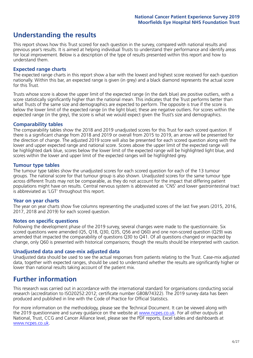# **Understanding the results**

This report shows how this Trust scored for each question in the survey, compared with national results and previous year's results. It is aimed at helping individual Trusts to understand their performance and identify areas for local improvement. Below is a description of the type of results presented within this report and how to understand them.

#### **Expected range charts**

The expected range charts in this report show a bar with the lowest and highest score received for each question nationally. Within this bar, an expected range is given (in grey) and a black diamond represents the actual score for this Trust.

Trusts whose score is above the upper limit of the expected range (in the dark blue) are positive outliers, with a score statistically significantly higher than the national mean. This indicates that the Trust performs better than what Trusts of the same size and demographics are expected to perform. The opposite is true if the score is below the lower limit of the expected range (in the light blue); these are negative outliers. For scores within the expected range (in the grey), the score is what we would expect given the Trust's size and demographics.

#### **Comparability tables**

The comparability tables show the 2018 and 2019 unadjusted scores for this Trust for each scored question. If there is a significant change from 2018 and 2019 or overall from 2015 to 2019, an arrow will be presented for the direction of change. The adjusted 2019 score will also be presented for each scored question along with the lower and upper expected range and national score. Scores above the upper limit of the expected range will be highlighted dark blue, scores below the lower limit of the expected range will be highlighted light blue, and scores within the lower and upper limit of the expected ranges will be highlighted grey.

#### **Tumour type tables**

The tumour type tables show the unadjusted scores for each scored question for each of the 13 tumour groups. The national score for that tumour group is also shown. Unadjusted scores for the same tumour type across different Trusts may not be comparable, as they do not account for the impact that differing patient populations might have on results. Central nervous system is abbreviated as 'CNS' and lower gastrointestinal tract is abbreviated as 'LGT' throughout this report.

#### **Year on year charts**

The year on year charts show five columns representing the unadjusted scores of the last five years (2015, 2016, 2017, 2018 and 2019) for each scored question.

#### **Notes on specific questions**

Following the development phase of the 2019 survey, several changes were made to the questionnaire. Six scored questions were amended (Q5, Q18, Q30, Q35, Q56 and Q60) and one non-scored question (Q29) was amended that impacted the comparability of questions Q30 to Q41. Of all questions changed or impacted by change, only Q60 is presented with historical comparisons; though the results should be interpreted with caution.

#### **Unadjusted data and case-mix adjusted data**

Unadjusted data should be used to see the actual responses from patients relating to the Trust. Case-mix adjusted data, together with expected ranges, should be used to understand whether the results are significantly higher or lower than national results taking account of the patient mix.

### **Further information**

This research was carried out in accordance with the international standard for organisations conducting social research (accreditation to ISO20252:2012; certificate number GB08/74322). The 2019 survey data has been produced and published in line with the Code of Practice for Official Statistics.

For more information on the methodology, please see the Technical Document. It can be viewed along with the 2019 questionnaire and survey quidance on the website at [www.ncpes.co.uk](https://www.ncpes.co.uk/supporting-documents). For all other outputs at National, Trust, CCG and Cancer Alliance level, please see the PDF reports, Excel tables and dashboards at [www.ncpes.co.uk.](https://www.ncpes.co.uk/current-results)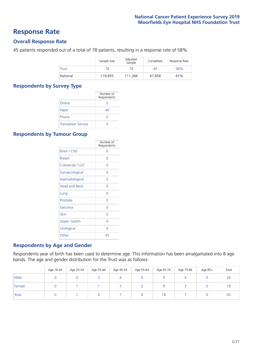### **Response Rate**

#### **Overall Response Rate**

45 patients responded out of a total of 78 patients, resulting in a response rate of 58%.

|              | Sample Size | Adjusted<br>Sample | Completed | Response Rate |
|--------------|-------------|--------------------|-----------|---------------|
| <b>Trust</b> | 78          | 78                 | 45        | 58%           |
| National     | 119.855     | 111.366            | 67.858    | 61%           |

#### **Respondents by Survey Type**

|                            | Number of<br>Respondents |
|----------------------------|--------------------------|
| Online                     | 5                        |
| Paper                      | 40                       |
| Phone                      |                          |
| <b>Translation Service</b> |                          |

#### **Respondents by Tumour Group**

|                      | Number of<br>Respondents |
|----------------------|--------------------------|
| Brain / CNS          | ∩                        |
| <b>Breast</b>        | Ω                        |
| Colorectal / LGT     | U                        |
| Gynaecological       | 0                        |
| Haematological       | 0                        |
| <b>Head and Neck</b> | U                        |
| Lung                 | Ω                        |
| Prostate             | U                        |
| Sarcoma              | Ω                        |
| Skin                 | Ω                        |
| <b>Upper Gastro</b>  | Ω                        |
| Urological           | ∩                        |
| Other                | 45                       |

#### **Respondents by Age and Gender**

Respondents year of birth has been used to determine age. This information has been amalgamated into 8 age bands. The age and gender distribution for the Trust was as follows:

|        | Age 16-24 | Age 25-34 | Age 35-44 | Age 45-54 | Age 55-64 | Age 65-74 | Age 75-84 | Age 85+ | Total |
|--------|-----------|-----------|-----------|-----------|-----------|-----------|-----------|---------|-------|
| Male   |           |           |           |           |           |           |           |         | 26    |
| Female |           |           |           |           | ∸         |           |           |         | 19    |
| Total  |           |           |           |           |           | 18        |           |         | -45   |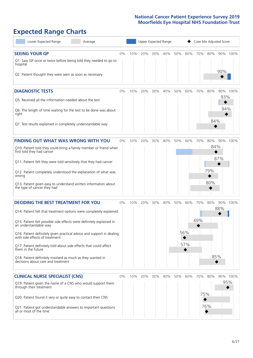# **Expected Range Charts**

| Lower Expected Range                                                                                                                   | Average |       | Upper Expected Range |     |     |     |     | Case Mix Adjusted Score |     |     |     |          |
|----------------------------------------------------------------------------------------------------------------------------------------|---------|-------|----------------------|-----|-----|-----|-----|-------------------------|-----|-----|-----|----------|
| <b>SEEING YOUR GP</b>                                                                                                                  |         | $0\%$ | 10%                  | 20% | 30% | 40% | 50% | 60%                     | 70% | 80% |     | 90% 100% |
| Q1. Saw GP once or twice before being told they needed to go to<br>hospital<br>Q2. Patient thought they were seen as soon as necessary |         |       |                      |     |     |     |     |                         |     |     | 90% |          |
| <b>DIAGNOSTIC TESTS</b>                                                                                                                |         | $0\%$ | 10%                  | 20% | 30% | 40% | 50% | 60%                     | 70% | 80% |     | 90% 100% |
| Q5. Received all the information needed about the test                                                                                 |         |       |                      |     |     |     |     |                         |     |     | 93% |          |
| Q6. The length of time waiting for the test to be done was about<br>right                                                              |         |       |                      |     |     |     |     |                         |     |     | 94% |          |
| Q7. Test results explained in completely understandable way                                                                            |         |       |                      |     |     |     |     |                         |     | 84% |     |          |
| <b>FINDING OUT WHAT WAS WRONG WITH YOU</b>                                                                                             |         | $0\%$ | 10%                  | 20% | 30% | 40% | 50% | 60%                     | 70% | 80% | 90% | 100%     |
| Q10. Patient told they could bring a family member or friend when<br>first told they had cancer                                        |         |       |                      |     |     |     |     |                         |     | 84% |     |          |
| Q11. Patient felt they were told sensitively that they had cancer                                                                      |         |       |                      |     |     |     |     |                         |     |     | 87% |          |
| Q12. Patient completely understood the explanation of what was<br>wrong                                                                |         |       |                      |     |     |     |     |                         |     | 79% |     |          |
| Q13. Patient given easy to understand written information about<br>the type of cancer they had                                         |         |       |                      |     |     |     |     |                         |     | 80% |     |          |
| <b>DECIDING THE BEST TREATMENT FOR YOU</b>                                                                                             |         | $0\%$ | 10%                  | 20% | 30% | 40% | 50% | 60%                     | 70% | 80% |     | 90% 100% |
| Q14. Patient felt that treatment options were completely explained                                                                     |         |       |                      |     |     |     |     |                         |     |     | 88% |          |
| Q15. Patient felt possible side effects were definitely explained in<br>an understandable way                                          |         |       |                      |     |     |     |     |                         | 69% |     |     |          |
| Q16. Patient definitely given practical advice and support in dealing<br>with side effects of treatment                                |         |       |                      |     |     |     |     | 56%                     |     |     |     |          |
| Q17. Patient definitely told about side effects that could affect<br>them in the future                                                |         |       |                      |     |     |     |     | 57%                     |     |     |     |          |
| Q18. Patient definitely involved as much as they wanted in<br>decisions about care and treatment                                       |         |       |                      |     |     |     |     |                         |     |     | 85% |          |
| <b>CLINICAL NURSE SPECIALIST (CNS)</b>                                                                                                 |         | $0\%$ | 10%                  | 20% | 30% | 40% | 50% | 60%                     | 70% | 80% |     | 90% 100% |
| Q19. Patient given the name of a CNS who would support them<br>through their treatment                                                 |         |       |                      |     |     |     |     |                         |     |     |     | 95%      |
| Q20. Patient found it very or quite easy to contact their CNS                                                                          |         |       |                      |     |     |     |     |                         | 75% |     |     |          |
| Q21. Patient got understandable answers to important questions<br>all or most of the time                                              |         |       |                      |     |     |     |     |                         |     | 76% |     |          |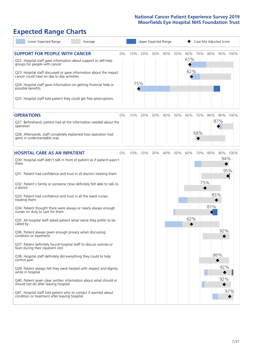# **Expected Range Charts**

| Lower Expected Range<br>Average                                                                                                                                                                                                                                                                                                                                                                                               |    |            |     | Upper Expected Range |     | Case Mix Adjusted Score |                   |     |     |                 |
|-------------------------------------------------------------------------------------------------------------------------------------------------------------------------------------------------------------------------------------------------------------------------------------------------------------------------------------------------------------------------------------------------------------------------------|----|------------|-----|----------------------|-----|-------------------------|-------------------|-----|-----|-----------------|
| <b>SUPPORT FOR PEOPLE WITH CANCER</b><br>Q22. Hospital staff gave information about support or self-help<br>groups for people with cancer<br>Q23. Hospital staff discussed or gave information about the impact<br>cancer could have on day to day activities<br>Q24. Hospital staff gave information on getting financial help or<br>possible benefits<br>Q25. Hospital staff told patient they could get free prescriptions | 0% | 10%<br>15% | 20% | 30%                  | 40% | 50%                     | 60%<br>61%<br>62% | 70% | 80% | 90% 100%        |
| <b>OPERATIONS</b>                                                                                                                                                                                                                                                                                                                                                                                                             | 0% | 10%        | 20% | 30%                  | 40% | 50%                     | 60%               | 70% | 80% | 90% 100%        |
| Q27. Beforehand, patient had all the information needed about the<br>operation<br>Q28. Afterwards, staff completely explained how operation had<br>gone in understandable way                                                                                                                                                                                                                                                 |    |            |     |                      |     |                         |                   | 68% | 87% |                 |
| <b>HOSPITAL CARE AS AN INPATIENT</b>                                                                                                                                                                                                                                                                                                                                                                                          | 0% | 10%        | 20% | 30%                  | 40% | 50%                     | 60%               | 70% | 80% | 90% 100%<br>94% |
| Q30. Hospital staff didn't talk in front of patient as if patient wasn't<br>there<br>Q31. Patient had confidence and trust in all doctors treating them                                                                                                                                                                                                                                                                       |    |            |     |                      |     |                         |                   |     |     | 95%             |
| Q32. Patient's family or someone close definitely felt able to talk to<br>a doctor<br>Q33. Patient had confidence and trust in all the ward nurses                                                                                                                                                                                                                                                                            |    |            |     |                      |     |                         |                   | 75% | 85% |                 |
| treating them<br>Q34. Patient thought there were always or nearly always enough<br>nurses on duty to care for them                                                                                                                                                                                                                                                                                                            |    |            |     |                      |     |                         |                   |     | 81% |                 |
| Q35. All hospital staff asked patient what name they prefer to be<br>called by                                                                                                                                                                                                                                                                                                                                                |    |            |     |                      |     |                         | 62%               |     |     |                 |
| Q36. Patient always given enough privacy when discussing<br>condition or treatment<br>Q37. Patient definitely found hospital staff to discuss worries or<br>fears during their inpatient visit                                                                                                                                                                                                                                |    |            |     |                      |     |                         |                   |     |     | 92%             |
| Q38. Hospital staff definitely did everything they could to help<br>control pain                                                                                                                                                                                                                                                                                                                                              |    |            |     |                      |     |                         |                   |     | 86% |                 |
| Q39. Patient always felt they were treated with respect and dignity<br>while in hospital<br>Q40. Patient given clear written information about what should or                                                                                                                                                                                                                                                                 |    |            |     |                      |     |                         |                   |     |     | 92%<br>92%      |
| should not do after leaving hospital<br>Q41. Hospital staff told patient who to contact if worried about<br>condition or treatment after leaving hospital                                                                                                                                                                                                                                                                     |    |            |     |                      |     |                         |                   |     |     | 97%             |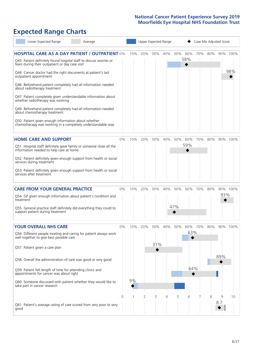# **Expected Range Charts**

|           | Lower Expected Range                                                                                                                                                                                                                                                                                                                                                                                                                                                                                                                                                                                                                                                                                   | Average |       |           | Upper Expected Range |     |         | Case Mix Adjusted Score |            |     |             |          |                 |
|-----------|--------------------------------------------------------------------------------------------------------------------------------------------------------------------------------------------------------------------------------------------------------------------------------------------------------------------------------------------------------------------------------------------------------------------------------------------------------------------------------------------------------------------------------------------------------------------------------------------------------------------------------------------------------------------------------------------------------|---------|-------|-----------|----------------------|-----|---------|-------------------------|------------|-----|-------------|----------|-----------------|
|           | <b>HOSPITAL CARE AS A DAY PATIENT / OUTPATIENT 0%</b><br>Q43. Patient definitely found hospital staff to discuss worries or<br>fears during their outpatient or day case visit<br>Q44. Cancer doctor had the right documents at patient's last<br>outpatient appointment<br>Q46. Beforehand patient completely had all information needed<br>about radiotherapy treatment<br>Q47. Patient completely given understandable information about<br>whether radiotherapy was working<br>Q49. Beforehand patient completely had all information needed<br>about chemotherapy treatment<br>Q50. Patient given enough information about whether<br>chemotherapy was working in a completely understandable way |         |       | 10%       | 20%                  | 30% | 40%     | 50%                     | 60%<br>58% | 70% | 80%         |          | 90% 100%<br>98% |
|           | <b>HOME CARE AND SUPPORT</b><br>Q51. Hospital staff definitely gave family or someone close all the<br>information needed to help care at home<br>Q52. Patient definitely given enough support from health or social<br>services during treatment<br>Q53. Patient definitely given enough support from health or social<br>services after treatment                                                                                                                                                                                                                                                                                                                                                    |         | 0%    | 10%       | 20%                  | 30% | 40%     | 50%                     | 60%<br>59% | 70% | 80%         |          | 90% 100%        |
| treatment | <b>CARE FROM YOUR GENERAL PRACTICE</b><br>Q54. GP given enough information about patient's condition and<br>Q55. General practice staff definitely did everything they could to<br>support patient during treatment                                                                                                                                                                                                                                                                                                                                                                                                                                                                                    |         | $0\%$ | 10%       | 20%                  | 30% | 40%     | 50%<br>47%              | 60%        | 70% | 80%         | 93%      | 90% 100%        |
|           | <b>YOUR OVERALL NHS CARE</b><br>Q56. Different people treating and caring for patient always work<br>well together to give best possible care<br>Q57. Patient given a care plan<br>Q58. Overall the administration of care was good or very good<br>Q59. Patient felt length of time for attending clinics and<br>appointments for cancer was about right<br>Q60. Someone discussed with patient whether they would like to<br>take part in cancer research                                                                                                                                                                                                                                            |         | $0\%$ | 10%<br>9% | 20%                  | 31% | 30% 40% | 50%                     | 63%<br>64% |     | 60% 70% 80% | 89%      | 90% 100%        |
| good      | Q61. Patient's average rating of care scored from very poor to very                                                                                                                                                                                                                                                                                                                                                                                                                                                                                                                                                                                                                                    |         | 0     |           | 2                    | 3   | 4       | 5                       | 6          |     | 8           | 9<br>8.7 | 10              |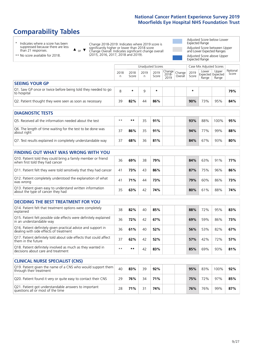# **Comparability Tables**

\* Indicates where a score has been suppressed because there are less than 21 responses.

\*\* No score available for 2018.

 $\triangle$  or  $\nabla$ 

Change 2018-2019: Indicates where 2019 score is significantly higher or lower than 2018 score Change Overall: Indicates significant change overall (2015, 2016, 2017, 2018 and 2019).

Adjusted Score below Lower Expected Range Adjusted Score between Upper and Lower Expected Ranges Adjusted Score above Upper Expected Range

|                                                                             |           |               | Unadjusted Scores |               |                                                      |         |               | Case Mix Adjusted Scores |                                     |                   |
|-----------------------------------------------------------------------------|-----------|---------------|-------------------|---------------|------------------------------------------------------|---------|---------------|--------------------------|-------------------------------------|-------------------|
|                                                                             | 2018<br>n | 2018<br>Score | 2019<br>n         | 2019<br>Score | $\cdot$   Change   Change   $\cdot$<br>2018-<br>2019 | Overall | 2019<br>Score | Lower<br>Range           | Upper<br>Expected Expected<br>Range | National<br>Score |
| <b>SEEING YOUR GP</b>                                                       |           |               |                   |               |                                                      |         |               |                          |                                     |                   |
| Q1. Saw GP once or twice before being told they needed to go<br>to hospital | 8         | $\star$       | 9                 | $\star$       |                                                      |         | $\star$       |                          |                                     | 79%               |
| Q2. Patient thought they were seen as soon as necessary                     | 39        | 82%           | 44                | 86%           |                                                      |         | 90%           | 73%                      | 95%                                 | 84%               |
| <b>DIAGNOSTIC TESTS</b>                                                     |           |               |                   |               |                                                      |         |               |                          |                                     |                   |

| O5. Received all the information needed about the test                    | $***$ | **  | マヒ | 91% |  | 93% | 88% | 100% | 95% |
|---------------------------------------------------------------------------|-------|-----|----|-----|--|-----|-----|------|-----|
| Q6. The length of time waiting for the test to be done was<br>about right |       | 86% | 35 | 91% |  | 94% | 77% | 99%  | 88% |
| Q7. Test results explained in completely understandable way               |       | 68% | 36 | 81% |  | 84% | 67% | 93%  | 80% |

| Q10. Patient told they could bring a family member or friend<br>when first told they had cancer | 36 | 69% | 38 | 79% |  | 84% | 63% | 91% | 77% |
|-------------------------------------------------------------------------------------------------|----|-----|----|-----|--|-----|-----|-----|-----|
| Q11. Patient felt they were told sensitively that they had cancer                               | 41 | 73% | 43 | 86% |  | 87% | 75% | 96% | 86% |
| Q12. Patient completely understood the explanation of what<br>was wrong                         |    | 71% | 44 | 73% |  | 79% | 60% | 86% | 73% |
| Q13. Patient given easy to understand written information<br>about the type of cancer they had  |    | 63% |    | 74% |  | 80% | 61% | 88% | 74% |

|  | <b>DECIDING THE BEST TREATMENT FOR YOU</b> |  |
|--|--------------------------------------------|--|
|--|--------------------------------------------|--|

| Q14. Patient felt that treatment options were completely<br>explained                                   | 38   | 82% | 40 | 85% | 88% | 72% | 95% | 83% |
|---------------------------------------------------------------------------------------------------------|------|-----|----|-----|-----|-----|-----|-----|
| Q15. Patient felt possible side effects were definitely explained<br>in an understandable way           | 36   | 72% | 42 | 67% | 69% | 59% | 86% | 73% |
| Q16. Patient definitely given practical advice and support in<br>dealing with side effects of treatment | 36   | 61% | 40 | 52% | 56% | 53% | 82% | 67% |
| Q17. Patient definitely told about side effects that could affect<br>them in the future                 | 37   | 62% | 42 | 52% | 57% | 42% | 72% | 57% |
| Q18. Patient definitely involved as much as they wanted in<br>decisions about care and treatment        | $**$ | **  | 42 | 83% | 85% | 69% | 93% | 81% |

| <b>CLINICAL NURSE SPECIALIST (CNS)</b>                                                    |    |     |    |     |     |     |      |     |
|-------------------------------------------------------------------------------------------|----|-----|----|-----|-----|-----|------|-----|
| [Q19. Patient given the name of a CNS who would support them<br>through their treatment   | 40 | 83% | 39 | 92% | 95% | 83% | 100% | 92% |
| Q20. Patient found it very or quite easy to contact their CNS                             | 29 | 76% | 34 | 71% | 75% | 72% | 97%  | 85% |
| Q21. Patient got understandable answers to important<br>questions all or most of the time | 28 | 71% |    | 74% | 76% | 76% | 99%  | 87% |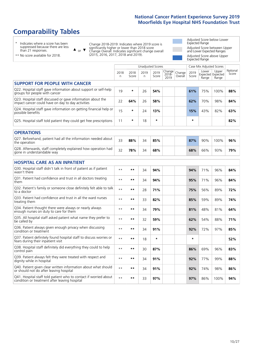# **Comparability Tables**

\* Indicates where a score has been suppressed because there are less than 21 responses.

\*\* No score available for 2018.

 $\triangle$  or  $\nabla$ 

Change 2018-2019: Indicates where 2019 score is significantly higher or lower than 2018 score Change Overall: Indicates significant change overall (2015, 2016, 2017, 2018 and 2019).

Adjusted Score below Lower Expected Range Adjusted Score between Upper and Lower Expected Ranges Adjusted Score above Upper Expected Range

|                                                                                                                   | Unadjusted Scores |               |           |               |                         |                   |               | Case Mix Adjusted Scores |                                     |                   |
|-------------------------------------------------------------------------------------------------------------------|-------------------|---------------|-----------|---------------|-------------------------|-------------------|---------------|--------------------------|-------------------------------------|-------------------|
|                                                                                                                   | 2018<br>n         | 2018<br>Score | 2019<br>n | 2019<br>Score | Change<br>2018-<br>2019 | Change<br>Overall | 2019<br>Score | Lower<br>Range           | Upper<br>Expected Expected<br>Range | National<br>Score |
| <b>SUPPORT FOR PEOPLE WITH CANCER</b>                                                                             |                   |               |           |               |                         |                   |               |                          |                                     |                   |
| Q22. Hospital staff gave information about support or self-help<br>groups for people with cancer                  | 19                | $\star$       | 26        | 54%           |                         |                   | 61%           | 75%                      | 100%                                | 88%               |
| Q23. Hospital staff discussed or gave information about the<br>impact cancer could have on day to day activities  | 22                | 64%           | 26        | 58%           |                         |                   | 62%           | 70%                      | 98%                                 | 84%               |
| Q24. Hospital staff gave information on getting financial help or<br>possible benefits                            | 15                | *             | 24        | 13%           |                         |                   | 15%           | 43%                      | 82%                                 | 63%               |
| Q25. Hospital staff told patient they could get free prescriptions                                                | 11                | *             | 18        | $\star$       |                         |                   | $\star$       |                          |                                     | 82%               |
| <b>OPERATIONS</b>                                                                                                 |                   |               |           |               |                         |                   |               |                          |                                     |                   |
| Q27. Beforehand, patient had all the information needed about<br>the operation                                    | 33                | 88%           | 34        | 85%           |                         |                   | 87%           | 90%                      | 100%                                | 96%               |
| Q28. Afterwards, staff completely explained how operation had<br>gone in understandable way                       | 32                | 78%           | 34        | 68%           |                         |                   | 68%           | 66%                      | 93%                                 | 79%               |
| <b>HOSPITAL CARE AS AN INPATIENT</b>                                                                              |                   |               |           |               |                         |                   |               |                          |                                     |                   |
| Q30. Hospital staff didn't talk in front of patient as if patient<br>wasn't there                                 | $**$              | $***$         | 34        | 94%           |                         |                   | 94%           | 71%                      | 96%                                 | 84%               |
| Q31. Patient had confidence and trust in all doctors treating<br>them                                             | $**$              | **            | 34        | 94%           |                         |                   | 95%           | 71%                      | 96%                                 | 84%               |
| Q32. Patient's family or someone close definitely felt able to talk<br>to a doctor                                | $* *$             | **            | 28        | 71%           |                         |                   | 75%           | 56%                      | 89%                                 | 72%               |
| O33. Patient had confidence and trust in all the ward nurses<br>treating them                                     | $**$              | **            | 33        | 82%           |                         |                   | 85%           | 59%                      | 89%                                 | 74%               |
| Q34. Patient thought there were always or nearly always<br>enough nurses on duty to care for them                 | $**$              | **            | 34        | 79%           |                         |                   | 81%           | 48%                      | 81%                                 | 64%               |
| Q35. All hospital staff asked patient what name they prefer to<br>be called by                                    | $* *$             | **            | 32        | 59%           |                         |                   | 62%           | 54%                      | 88%                                 | 71%               |
| Q36. Patient always given enough privacy when discussing<br>condition or treatment                                | $* *$             | $***$         | 34        | 91%           |                         |                   | 92%           | 72%                      | 97%                                 | 85%               |
| Q37. Patient definitely found hospital staff to discuss worries or<br>fears during their inpatient visit          | $* *$             | **            | 18        | $\star$       |                         |                   | $\star$       |                          |                                     | 52%               |
| Q38. Hospital staff definitely did everything they could to help<br>control pain                                  | $* *$             | **            | 30        | 87%           |                         |                   | 86%           | 69%                      | 96%                                 | 83%               |
| Q39. Patient always felt they were treated with respect and<br>dignity while in hospital                          | $\star\star$      | **            | 34        | 91%           |                         |                   | 92%           | 77%                      | 99%                                 | 88%               |
| Q40. Patient given clear written information about what should<br>or should not do after leaving hospital         | $**$              | **            | 34        | 91%           |                         |                   | 92%           | 74%                      | 98%                                 | 86%               |
| Q41. Hospital staff told patient who to contact if worried about<br>condition or treatment after leaving hospital | $* *$             | **            | 33        | 97%           |                         |                   | 97%           | 86%                      | 100%                                | 94%               |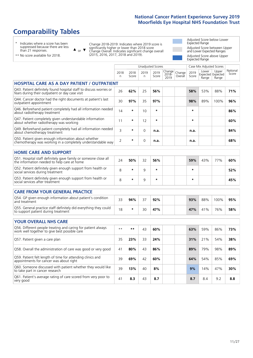# **Comparability Tables**

\* Indicates where a score has been suppressed because there are less than 21 responses.

\*\* No score available for 2018.

or  $\blacktriangledown$  $\blacktriangle$ 

Change 2018-2019: Indicates where 2019 score is significantly higher or lower than 2018 score Change Overall: Indicates significant change overall (2015, 2016, 2017, 2018 and 2019).

Adjusted Score below Lower Expected Range Adjusted Score between Upper and Lower Expected Ranges Adjusted Score above Upper Expected Range

|                                                                                                                       |           |               |             | <b>Unadjusted Scores</b> |                         |                   |               |                                     | Case Mix Adjusted Scores |                                                                                         |  |  |  |
|-----------------------------------------------------------------------------------------------------------------------|-----------|---------------|-------------|--------------------------|-------------------------|-------------------|---------------|-------------------------------------|--------------------------|-----------------------------------------------------------------------------------------|--|--|--|
|                                                                                                                       | 2018<br>n | 2018<br>Score | 2019<br>n   | 2019<br>Score            | Change<br>2018-<br>2019 | Change<br>Overall | 2019<br>Score | Lower<br>Expected Expected<br>Range | Upper<br>Range           | National<br>Score                                                                       |  |  |  |
| <b>HOSPITAL CARE AS A DAY PATIENT / OUTPATIENT</b>                                                                    |           |               |             |                          |                         |                   |               |                                     |                          | 71%<br>96%<br>86%<br>60%<br>84%<br>68%<br>60%<br>52%<br>45%<br>95%<br>58%<br>73%<br>38% |  |  |  |
| Q43. Patient definitely found hospital staff to discuss worries or<br>fears during their outpatient or day case visit | 26        | 62%           | 25          | 56%                      |                         |                   | 58%           | 53%                                 | 88%                      |                                                                                         |  |  |  |
| Q44. Cancer doctor had the right documents at patient's last<br>outpatient appointment                                | 30        | 97%           | 35          | 97%                      |                         |                   | 98%           | 89%                                 | 100%                     |                                                                                         |  |  |  |
| Q46. Beforehand patient completely had all information needed<br>about radiotherapy treatment                         | 14        | *             | 10          | $\star$                  |                         |                   | *             |                                     |                          |                                                                                         |  |  |  |
| Q47. Patient completely given understandable information<br>about whether radiotherapy was working                    | 11        | $\star$       | 12          | $\star$                  |                         |                   | $\star$       |                                     |                          |                                                                                         |  |  |  |
| Q49. Beforehand patient completely had all information needed<br>about chemotherapy treatment                         | 3         | $\ast$        | $\Omega$    | n.a.                     |                         |                   | n.a.          |                                     |                          |                                                                                         |  |  |  |
| Q50. Patient given enough information about whether<br>chemotherapy was working in a completely understandable way    | 2         | *             | $\mathbf 0$ | n.a.                     |                         |                   | n.a.          |                                     |                          |                                                                                         |  |  |  |
| <b>HOME CARE AND SUPPORT</b>                                                                                          |           |               |             |                          |                         |                   |               |                                     |                          |                                                                                         |  |  |  |
| Q51. Hospital staff definitely gave family or someone close all<br>the information needed to help care at home        | 24        | 50%           | 32          | 56%                      |                         |                   | 59%           | 43%                                 | 77%                      |                                                                                         |  |  |  |
| Q52. Patient definitely given enough support from health or<br>social services during treatment                       | 8         | $\star$       | 9           | $\star$                  |                         |                   | $\star$       |                                     |                          |                                                                                         |  |  |  |
| Q53. Patient definitely given enough support from health or<br>social services after treatment                        | 8         | *             | 9           | $\star$                  |                         |                   | $\star$       |                                     |                          |                                                                                         |  |  |  |
| <b>CARE FROM YOUR GENERAL PRACTICE</b>                                                                                |           |               |             |                          |                         |                   |               |                                     |                          |                                                                                         |  |  |  |
| Q54. GP given enough information about patient's condition<br>and treatment                                           | 33        | 94%           | 37          | 92%                      |                         |                   | 93%           | 88%                                 | 100%                     |                                                                                         |  |  |  |
| Q55. General practice staff definitely did everything they could<br>to support patient during treatment               | 18        | $\star$       | 30          | 47%                      |                         |                   | 47%           | 41%                                 | 76%                      |                                                                                         |  |  |  |
| <b>YOUR OVERALL NHS CARE</b>                                                                                          |           |               |             |                          |                         |                   |               |                                     |                          |                                                                                         |  |  |  |
| Q56. Different people treating and caring for patient always<br>work well together to give best possible care         | $**$      | $***$         | 43          | 60%                      |                         |                   | 63%           | 59%                                 | 86%                      |                                                                                         |  |  |  |
| Q57. Patient given a care plan                                                                                        | 35        | 23%           | 33          | 24%                      |                         |                   | 31%           | 21%                                 | 54%                      |                                                                                         |  |  |  |
| Q58. Overall the administration of care was good or very good                                                         | 41        | 80%           | 43          | 86%                      |                         |                   | 89%           | 79%                                 | 98%                      | 89%                                                                                     |  |  |  |
| Q59. Patient felt length of time for attending clinics and<br>appointments for cancer was about right                 | 39        | 69%           | 42          | 60%                      |                         |                   | 64%           | 54%                                 | 85%                      | 69%                                                                                     |  |  |  |
| Q60. Someone discussed with patient whether they would like<br>to take part in cancer research                        | 39        | 13%           | 40          | 8%                       |                         |                   | 9%            | 14%                                 | 47%                      | 30%                                                                                     |  |  |  |
| Q61. Patient's average rating of care scored from very poor to<br>very good                                           | 41        | 8.3           | 43          | 8.7                      |                         |                   | 8.7           | 8.4                                 | 9.2                      | 8.8                                                                                     |  |  |  |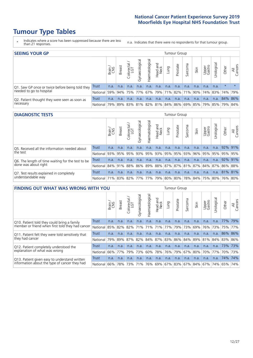# **Tumour Type Tables**

- \* Indicates where a score has been suppressed because there are less than 21 responses.
- n.a. Indicates that there were no respondents for that tumour group.

| <b>SEEING YOUR GP</b>                           |            |              |               |             |                |                |                  |             | Tumour Group |         |                                                           |                 |            |         |                |
|-------------------------------------------------|------------|--------------|---------------|-------------|----------------|----------------|------------------|-------------|--------------|---------|-----------------------------------------------------------|-----------------|------------|---------|----------------|
|                                                 |            | Brain<br>CNS | <b>Breast</b> | Colorectal  | Gynaecological | Haematological | Head and<br>Neck | <b>Dung</b> | Prostate     | Sarcoma | Skin                                                      | Upper<br>Gastro | Urological | Other   | All<br>Cancers |
| Q1. Saw GP once or twice before being told they | Trust      | n.a.         | n.a.          | n.a.        | n.a.           | n.a.           | n.a.             | n.a.        | n.a.         | n.a.    | n.a.                                                      | n.a.            | n.a.       | $\star$ | $\star$        |
| needed to go to hospital                        | National   | 59%          |               | 94% 75% 77% |                |                |                  |             |              |         | 67%   79%   71%   82%   71%   90%   74%   83%   74%   79% |                 |            |         |                |
| Q2. Patient thought they were seen as soon as   | Trust      | n.a.         | n.a.          | n.a.        | n.a.           | n.a.           | n.a.             | n.a.        | n.a.         | n.a.    | n.a.                                                      | n.a.            | n.a.       | 84% 86% |                |
| necessary                                       | National I | 79%          |               |             |                |                |                  |             |              |         | 89% 83% 81% 82% 81% 84% 86% 69% 85% 79% 85% 79% 84%       |                 |            |         |                |

#### **DIAGNOSTIC TESTS** Tumour Group

|                                                                |              | Brain | <b>Breast</b> | olorectal.<br>LGT | $\overline{\sigma}$<br>Gynaecologic | Haematological      | Head and<br>Neck | Lung | Prostate | Sarcoma | Skin | Upper<br>Gastro | rological                                                                   | Other | All<br>Cancers |
|----------------------------------------------------------------|--------------|-------|---------------|-------------------|-------------------------------------|---------------------|------------------|------|----------|---------|------|-----------------|-----------------------------------------------------------------------------|-------|----------------|
| Q5. Received all the information needed about                  | <b>Trust</b> | n.a.  | n.a.          | n.a.              | n.a.                                | n.a.                | n.a.             | n.a  | n.a.     | n.a.    | n.a. | n.a.            | n.a.                                                                        |       | 92% 91%        |
| the test                                                       | National     | 93%   | 95%           | 95%               | 93%                                 | 95% 93% 95% 95% 93% |                  |      |          |         | 96%  | 95%             |                                                                             |       | 95% 95% 95%    |
| Q6. The length of time waiting for the test to be              | Trust        | n.a.  | n.a.          | n.a.              | n.a.                                | n.a.                | n.a.             | n.a. | n.a.     | n.a.    | n.a. | n.a.            | n.a.                                                                        |       | 92% 91%        |
| done was about right                                           | National     |       | 84% 91% 88%   |                   |                                     |                     |                  |      |          |         |      |                 | 86%  89%  88%  87%  87%  81%  87%  84%  87%  86%  88%                       |       |                |
| Q7. Test results explained in completely<br>understandable way | <b>Trust</b> | n.a.  | n.a.          | n.a.              | n.a.                                | n.a.                | n.a.             | n.a. | n.a.     | n.a.    | n.a. | n.a.            | n.a.                                                                        |       | 81% 81%        |
|                                                                | National 71% |       |               |                   |                                     |                     |                  |      |          |         |      |                 | 83%   82%   77%   77%   79%   80%   80%   78%   84%   75%   80%   76%   80% |       |                |

| <b>FINDING OUT WHAT WAS WRONG WITH YOU</b>                                                     |              |       |               |                        |                |                     |                  |         | <b>Tumour Group</b> |         |                         |                 |                 |             |                |
|------------------------------------------------------------------------------------------------|--------------|-------|---------------|------------------------|----------------|---------------------|------------------|---------|---------------------|---------|-------------------------|-----------------|-----------------|-------------|----------------|
|                                                                                                |              | Brain | <b>Breast</b> | olorectal.<br>LGT<br>Ü | Gynaecological | Haematological      | Head and<br>Neck | Lung    | Prostate            | Sarcoma | Skin                    | Upper<br>Gastro | Urological      | Other       | All<br>Cancers |
| Q10. Patient told they could bring a family                                                    | <b>Trust</b> | n.a.  | n.a.          | n.a.                   | n.a.           | n.a.                | n.a.             | n.a.    | n.a.                | n.a.    | n.a.                    | n.a.            | n.a.            | 77%         | 79%            |
| member or friend when first told they had cancer                                               | National     | 85%   | 82%           | 82%                    | 71%            | 71%                 | 71%              | 77%     | 79%                 | 73%     | 69%                     | 76%             | 73%             | 75%         | 77%            |
| Q11. Patient felt they were told sensitively that                                              | Trust        | n.a.  | n.a.          | n.a.                   | n.a.           | n.a.                | n.a.             | n.a.    | n.a.                | n.a.    | n.a.                    | n.a.            | n.a.            |             | 86% 86%        |
| they had cancer                                                                                | National     | 79%   | 89%           | 87%                    | 82%            | 84% 87% 83% 86% 84% |                  |         |                     |         | 89% 81%                 |                 |                 | 84% 83% 86% |                |
| Q12. Patient completely understood the                                                         | Trust        | n.a.  | n.a.          | n.a.                   | n.a.           | n.a.                | n.a.             | n.a.    | n.a.                | n.a.    | n.a.                    | n.a.            | n.a.            | 73%         | 173%           |
| explanation of what was wrong                                                                  | National     | 66%   | 77%           | 79%                    | 73%            | 60%                 |                  | 78% 76% | 79%                 | 67%     | 80%                     | 70%             | 77%             |             | 70% 73%        |
| Q13. Patient given easy to understand written<br>information about the type of cancer they had | Trust        | n.a.  | n.a.          | n.a.                   | n.a.           | n.a.                | n.a.             | n.a.    | n.a.                | n.a.    | n.a.                    | n.a.            | n.a.            | 74%         | 74%            |
|                                                                                                | National     | 66%   | 78%           | 73%                    | 71%            |                     |                  |         |                     |         | 76% 69% 67% 83% 67% 84% |                 | 67%   74%   65% |             | 74%            |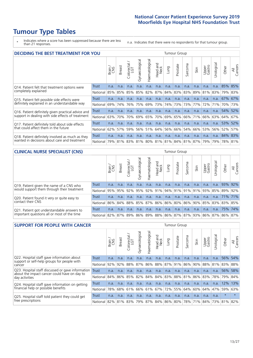# **Tumour Type Tables**

\* Indicates where a score has been suppressed because there are less than 21 responses.

n.a. Indicates that there were no respondents for that tumour group.

| <b>DECIDING THE BEST TREATMENT FOR YOU</b>                                                       |          |       |               |                             |                |                |                         |      | <b>Tumour Group</b> |                                     |      |                 |            |             |                |
|--------------------------------------------------------------------------------------------------|----------|-------|---------------|-----------------------------|----------------|----------------|-------------------------|------|---------------------|-------------------------------------|------|-----------------|------------|-------------|----------------|
|                                                                                                  |          | Brain | <b>Breast</b> | olorectal.<br>LGT<br>$\cup$ | Gynaecological | Haematological | ead and<br>Neck<br>Head | Lung | Prostate            | Sarcoma                             | Skin | Upper<br>Gastro | Jrological | Other       | All<br>Cancers |
| Q14. Patient felt that treatment options were                                                    | Trust    | n.a.  | n.a.          | n.a.                        | n.a.           | n.a.           | n.a.                    | n.a. | n.a.                | n.a.                                | n.a. | n.a.            | n.a.       | 85%         | 85%            |
| completely explained                                                                             | National | 85%   | 85%           | 85%                         | 85%            | 82%            | 87%                     |      | 84% 83%             | 83%                                 | 89%  | 81%             | 83%        | 79%         | 83%            |
| Q15. Patient felt possible side effects were                                                     | Trust    | n.a.  | n.a.          | n.a.                        | n.a.           | n.a.           | n.a.                    | n.a. | n.a.                | n.a.                                | n.a. | n.a.            | n.a.       | 67%         | 67%            |
| definitely explained in an understandable way                                                    | National | 69%   | 74%           | 76%                         | 75%            | 69%            | 73%                     | 74%  | 73%                 | 73%                                 | 77%  | 72%             | 71%        | 70%         | 73%            |
| Q16. Patient definitely given practical advice and                                               | Trust    | n.a.  | n.a.          | n.a.                        | n.a.           | n.a.           | n.a.                    | n.a. | n.a.                | n.a.                                | n.a. | n.a.            | n.a.       | 54%         | 52%            |
| support in dealing with side effects of treatment                                                | National | 63%   | 70%           | 70%                         | 69%            | 65%            | 70%                     | 69%  | 65%                 | 66%                                 | 71%  | 66%             | 63%        | 64%         | 67%            |
| Q17. Patient definitely told about side effects                                                  | Trust    | n.a.  | n.a.          | n.a.                        | n.a.           | n.a.           | n.a.                    | n.a. | n.a.                | n.a.                                | n.a. | n.a.            | n.a.       | 53%         | 52%            |
| that could affect them in the future                                                             | National | 62%   | 57%           | 59%                         | 56%            | 51%            | 64%                     | 56%  | 66%                 | 54%                                 | 66%  | 53%             | 56%        | 52%         | 57%            |
| Q18. Patient definitely involved as much as they<br>wanted in decisions about care and treatment | Trust    | n.a.  | n.a.          | n.a.                        | n.a.           | n.a.           | n.a.                    | n.a. | n.a.                | n.a.                                | n.a. | n.a.            | n.a.       | 84% 83%     |                |
|                                                                                                  | National | 79%   |               |                             |                |                |                         |      |                     | 81% 83% 81% 80% 81% 81% 84% 81% 87% |      | 79%             |            | 79% 78% 81% |                |

#### **CLINICAL NURSE SPECIALIST (CNS)** Tumour Group

|                                                                                           |                  | Brain | Breast      | olorectal<br>LGT<br>U | aecologic<br>Š | ক<br>aematologic<br>工 | Head and<br>Neck | Frumg | Prostate | Sarcoma | Skin | Upper<br>Gastro                         | $\sigma$<br>Irologica | Other                               | All<br>ancers<br>Û |
|-------------------------------------------------------------------------------------------|------------------|-------|-------------|-----------------------|----------------|-----------------------|------------------|-------|----------|---------|------|-----------------------------------------|-----------------------|-------------------------------------|--------------------|
| Q19. Patient given the name of a CNS who                                                  | <b>Trust</b>     | n.a.  | n.a.        | n.a.                  | n.a.           | n.a.                  | n.a.             | n.a.  | n.a.     | n.a.    | n.a. | n.a.                                    | n.a.                  | 93%                                 | $92\%$             |
| would support them through their treatment                                                | National l       | 95%   |             | 95%   92%   95%       |                |                       |                  |       |          |         |      | 92%   91%   94%   91%   91%   91%   93% |                       | 85% 89%                             | 92%                |
| Q20. Patient found it very or quite easy to                                               | <b>Trust</b>     | n.a.  | n.a.        | n.a.                  | n.a.           | n.a.                  | n.a.             | n.a.  | n.a.     | n.a.    | n.a. | n.a.                                    | n.a.                  | 71% 71%                             |                    |
| contact their CNS                                                                         | National         |       | 86% 84% 88% |                       | 85%            |                       |                  |       |          |         |      | 87% 86% 86% 80% 86% 90% 85%             |                       | 83% 83% 85%                         |                    |
| Q21. Patient got understandable answers to<br>important questions all or most of the time | Trust            | n.a.  | n.a.        | n.a.                  | n.a.           | n.a.                  | n.a.             | n.a.  | n.a.     | n.a.    | n.a. | n.a.                                    | n.a.                  | 75% 74%                             |                    |
|                                                                                           | National 82% 87% |       |             | 89%                   | 86%            |                       |                  |       |          |         |      |                                         |                       | 89% 88% 86% 87% 87% 93% 86% 87% 86% | 87%                |

| <b>SUPPORT FOR PEOPLE WITH CANCER</b>                                                             |              |       |               |                            |                |                |                         |             | Tumour Group          |         |             |                 |           |         |                |
|---------------------------------------------------------------------------------------------------|--------------|-------|---------------|----------------------------|----------------|----------------|-------------------------|-------------|-----------------------|---------|-------------|-----------------|-----------|---------|----------------|
|                                                                                                   |              | Brain | <b>Breast</b> | ╮<br>olorectal<br>LGT<br>Û | Gynaecological | Haematological | ead and<br>Neck<br>Head | <b>Lung</b> | Prostate              | Sarcoma | Skin        | Upper<br>Gastro | rological | Other   | All<br>Cancers |
| Q22. Hospital staff gave information about<br>support or self-help groups for people with         | <b>Trust</b> | n.a.  | n.a.          | n.a.                       | n.a.           | n.a.           | n.a.                    | n.a.        | n.a.                  | n.a.    | n.a.        | n.a.            | n.a.      | 56%     | 54%            |
| cancer                                                                                            | National     | 92%   | 92%           | 88%                        | 87%            | 86%            | 88%                     | 87%         | 91%                   | 86%     | 90%         | 88%             | 81%       | 83%     | 88%            |
| Q23. Hospital staff discussed or gave information<br>about the impact cancer could have on day to | <b>Trust</b> | n.a.  | n.a.          | n.a.                       | n.a.           | n.a.           | n.a.                    | n.a.        | n.a.                  | n.a.    | n.a.        | n.a.            | n.a.      | 56%     | 58%            |
| day activities                                                                                    | National     | 84%∣  |               | 86% 85%                    | 82%            | 84%            | 84%                     | 83%         |                       |         | 88% 81% 86% | 83%             |           | 78% 79% | 84%            |
| Q24. Hospital staff gave information on getting                                                   | Trust        | n.a.  | n.a.          | n.a.                       | n.a.           | n.a.           | n.a.                    | n.a.        | n.a.                  | n.a.    | n.a.        | n.a.            | n.a.      | 12%     | 13%            |
| financial help or possible benefits                                                               | National     | 78%   | 68%           | 61%                        | 66%            | 61%            | 67%                     | 72%         | 55%                   | 64%     | 60%         | 64%             | 47%       | 59%     | 63%            |
| Q25. Hospital staff told patient they could get                                                   | Trust        | n.a.  | n.a.          | n.a.                       | n.a.           | n.a.           | n.a.                    | n.a.        | n.a.                  | n.a.    | n.a.        | n.a.            | n.a.      | $\star$ | $\star$        |
| free prescriptions                                                                                | National     | 82%   |               | 81% 83%                    | 79%            |                |                         |             | 87%   84%   86%   80% | 78%     | 71% 84%     |                 |           | 73% 81% | 82%            |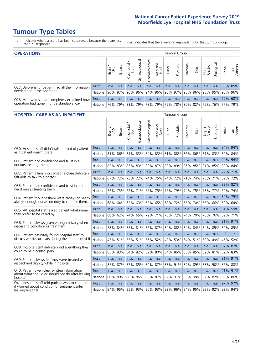# **Tumour Type Tables**

- \* Indicates where a score has been suppressed because there are less than 21 responses.
- n.a. Indicates that there were no respondents for that tumour group.

| <b>OPERATIONS</b>                                | Tumour Group |       |               |            |                |                |                             |      |          |         |      |                 |                             |         |                |
|--------------------------------------------------|--------------|-------|---------------|------------|----------------|----------------|-----------------------------|------|----------|---------|------|-----------------|-----------------------------|---------|----------------|
|                                                  |              | Brain | <b>Breast</b> | Colorectal | Gynaecological | Haematological | Head and<br>Neck            | Lung | Prostate | Sarcoma | Skin | Upper<br>Gastro | Jrological                  | Other   | All<br>Cancers |
| Q27. Beforehand, patient had all the information | Trust        | n.a.  | n.a.          | n.a.       | n.a.           | n.a.           | n.a.                        | n.a. | n.a.     | n.a.    | n.a. | n.a.            | n.a.                        | 86% 85% |                |
| needed about the operation                       | National     | 96%   |               | 97% 96%    |                |                | 96% 94% 96% 95% 97% 95% 96% |      |          |         |      |                 | 96% 95% 95% 96%             |         |                |
| Q28. Afterwards, staff completely explained how  | Trust        | n.a.  | n.a.          | n.a.       | n.a.           | n.a.           | n.a.                        | n.a. | n.a.     | n.a.    | n.a. | n.a.            | n.a.                        | 69% 68% |                |
| operation had gone in understandable way         | National     | 76%   |               | 79% 83%    | 79%            |                | 78% 79%                     |      |          |         |      |                 | 79% 78% 80% 82% 79% 76% 77% |         | 79%            |

#### **HOSPITAL CARE AS AN INPATIENT** Tumour Group

|                                                                                                  |              | Brain | Breast | $\overline{\phantom{0}}$<br>Colorectal /<br>LGT | Gynaecological | Haematological | Head and<br>Neck | Lung | Prostate | Sarcoma | Skin | Upper<br>Gastro | Urological  | Other   | All<br>Cancers |
|--------------------------------------------------------------------------------------------------|--------------|-------|--------|-------------------------------------------------|----------------|----------------|------------------|------|----------|---------|------|-----------------|-------------|---------|----------------|
| Q30. Hospital staff didn't talk in front of patient                                              | <b>Trust</b> | n.a.  | n.a.   | n.a.                                            | n.a.           | n.a.           | n.a.             | n.a. | n.a.     | n.a.    | n.a. | n.a.            | n.a.        | 94% 94% |                |
| as if patient wasn't there                                                                       | National     | 81%   | 86%    | 81%                                             | 83%            | 84%            | 83%              | 81%  | 88%      | 86%     | 86%  | 81%             | 83%         | 82%     | 84%            |
| 031. Patient had confidence and trust in all                                                     | Trust        | n.a.  | n.a.   | n.a.                                            | n.a.           | n.a.           | n.a.             | n.a. | n.a.     | n.a.    | n.a. | n.a.            | n.a.        | 94%     | 94%            |
| doctors treating them                                                                            | National     | 82%   | 83%    | 85%                                             | 83%            | 82%            | 87%              | 83%  | 89%      | 86%     | 85%  | 81%             | 85%         | 80% 84% |                |
| Q32. Patient's family or someone close definitely                                                | Trust        | n.a.  | n.a.   | n.a.                                            | n.a.           | n.a.           | n.a.             | n.a. | n.a.     | n.a.    | n.a. | n.a.            | n.a.        | 72%     | 71%            |
| felt able to talk to a doctor                                                                    | National     | 67%   | 72%    | 73%                                             | 72%            | 74%            | 75%              | 74%  | 72%      | 71%     | 74%  | 73%             | 71%         | 69%     | 72%            |
| Q33. Patient had confidence and trust in all the                                                 | <b>Trust</b> | n.a.  | n.a.   | n.a.                                            | n.a.           | n.a.           | n.a.             | n.a. | n.a.     | n.a.    | n.a. | n.a.            | n.a.        | 82%     | 82%            |
| ward nurses treating them                                                                        | National     | 72%   | 73%    | 72%                                             | 71%            | 77%            | 75%              | 77%  | 79%      | 74%     | 75%  | 73%             | 77%         | 69%     | 74%            |
| Q34. Patient thought there were always or nearly                                                 | Trust        | n.a.  | n.a.   | n.a.                                            | n.a.           | n.a.           | n.a.             | n.a. | n.a.     | n.a.    | n.a. | n.a.            | n.a.        | 80%     | 79%            |
| always enough nurses on duty to care for them                                                    | National     | 68%   | 64%    | 62%                                             | 63%            | 63%            | 65%              | 68%  | 72%      | 65%     | 70%  | 65%             | 66%         | 60%     | 64%            |
| Q35. All hospital staff asked patient what name                                                  | <b>Trust</b> | n.a.  | n.a.   | n.a.                                            | n.a.           | n.a.           | n.a.             | n.a. | n.a.     | n.a.    | n.a. | n.a.            | n.a.        | 61%     | 59%            |
| they prefer to be called by                                                                      | National     | 68%   | 62%    | 74%                                             | 65%            | 72%            | 71%              | 76%  | 72%      | 74%     | 70%  | 78%             | 76%         | 69%     | 71%            |
| Q36. Patient always given enough privacy when                                                    | Trust        | n.a.  | n.a.   | n.a.                                            | n.a.           | n.a.           | n.a.             | n.a. | n.a.     | n.a.    | n.a. | n.a.            | n.a.        | 91% 91% |                |
| discussing condition or treatment                                                                | National     | 78%   | 84%    | 85%                                             | 81%            | 86%            | 87%              | 84%  | 88%      | 84%     | 84%  | 84%             | 85%         | 82% 85% |                |
| Q37. Patient definitely found hospital staff to                                                  | <b>Trust</b> | n.a.  | n.a.   | n.a.                                            | n.a.           | n.a.           | n.a.             | n.a. | n.a.     | n.a.    | n.a. | n.a.            | n.a.        | $\star$ | $\star$        |
| discuss worries or fears during their inpatient visit                                            | National     | 45%   | 51%    | 55%                                             | 51%            | 56%            | 52%              | 49%  | 53%      | 54%     | 51%  | 53%             | 49%         | 46%     | 52%            |
| Q38. Hospital staff definitely did everything they                                               | <b>Trust</b> | n.a.  | n.a.   | n.a.                                            | n.a.           | n.a.           | n.a.             | n.a. | n.a.     | n.a.    | n.a. | n.a.            | n.a.        | 87%     | 87%            |
| could to help control pain                                                                       | National     | 85%   | 83%    | 84%                                             | 82%            | 82%            | 80%              | 84%  | 85%      | 83%     | 85%  | 82%             | 81%         | 82% 83% |                |
| Q39. Patient always felt they were treated with                                                  | <b>Trust</b> | n.a.  | n.a.   | n.a.                                            | n.a.           | n.a.           | n.a.             | n.a. | n.a.     | n.a.    | n.a. | n.a.            | n.a.        | 91%     | 91%            |
| respect and dignity while in hospital                                                            | National     | 85%   | 87%    | 87%                                             | 85%            | 89%            | 87%              | 88%  | 91%      | 89%     | 89%  | 88%             | 90%         | 86%     | 88%            |
| Q40. Patient given clear written information<br>about what should or should not do after leaving | Trust        | n.a.  | n.a.   | n.a.                                            | n.a.           | n.a.           | n.a.             | n.a. | n.a.     | n.a.    | n.a. | n.a.            | n.a.        | 91%     | 91%            |
| hospital                                                                                         | National     | 80%   | 89%    | 86%                                             | 86%            | 83%            | 87%              | 82%  | 91%      | 85%     | 90%  | 82%             | 87%         | 83%     | 86%            |
| Q41. Hospital staff told patient who to contact<br>if worried about condition or treatment after | <b>Trust</b> | n.a.  | n.a.   | n.a.                                            | n.a.           | n.a.           | n.a.             | n.a. | n.a.     | n.a.    | n.a. | n.a.            | n.a.        | 97%     | 97%            |
| leaving hospital                                                                                 | National     | 94%   | 95%    |                                                 | 95% 93%        | 96% 93% 92%    |                  |      | 96%      | 94%     |      |                 | 95% 92% 92% | 93% 94% |                |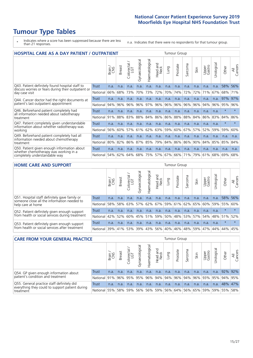# **Tumour Type Tables**

- \* Indicates where a score has been suppressed because there are less than 21 responses.
- n.a. Indicates that there were no respondents for that tumour group.

| <b>HOSPITAL CARE AS A DAY PATIENT / OUTPATIENT</b><br><b>Tumour Group</b>            |                                                                                                                                                                                               |      |      |      |      |      |      |      |         |      |      |      |                |         |         |
|--------------------------------------------------------------------------------------|-----------------------------------------------------------------------------------------------------------------------------------------------------------------------------------------------|------|------|------|------|------|------|------|---------|------|------|------|----------------|---------|---------|
|                                                                                      | Haematological<br>Gynaecological<br>Urological<br>Colorectal /<br>LGT<br>aad and<br>Neck<br>Sarcoma<br>Prostate<br>Upper<br>Gastro<br><b>Breast</b><br>Other<br>Lung<br>Brain<br>Skin<br>Head |      |      |      |      |      |      |      |         |      |      |      | All<br>Cancers |         |         |
| Q43. Patient definitely found hospital staff to                                      | Trust                                                                                                                                                                                         | n.a. | n.a. | n.a. | n.a. | n.a. | n.a. | n.a. | n.a.    | n.a. | n.a. | n.a. | n.a.           | 58%     | 56%     |
| discuss worries or fears during their outpatient or<br>day case visit                | National                                                                                                                                                                                      | 66%  | 68%  | 73%  | 70%  | 73%  | 72%  | 70%  | 74%     | 72%  | 72%  | 71%  | 67%            | 68%     | 71%     |
| Q44. Cancer doctor had the right documents at                                        | Trust                                                                                                                                                                                         | n.a. | n.a. | n.a. | n.a. | n.a. | n.a. | n.a. | n.a.    | n.a. | n.a. | n.a. | n.a.           | 97%     | 97%     |
| patient's last outpatient appointment                                                | National                                                                                                                                                                                      | 94%  | 96%  | 96%  | 96%  | 97%  | 96%  | 96%  | 96%     | 96%  | 96%  | 94%  | 96%            | 95%     | 96%     |
| Q46. Beforehand patient completely had                                               | Trust                                                                                                                                                                                         | n.a. | n.a. | n.a. | n.a. | n.a. | n.a. | n.a. | n.a.    | n.a. | n.a. | n.a. | n.a.           | $\star$ | $\star$ |
| all information needed about radiotherapy<br>treatment                               | National                                                                                                                                                                                      | 91%  | 88%  | 83%  | 88%  | 84%  | 86%  | 86%  | 88%     | 88%  | 84%  | 86%  | 83%            | 84%     | 86%     |
| Q47. Patient completely given understandable                                         | <b>Trust</b>                                                                                                                                                                                  | n.a. | n.a. | n.a. | n.a. | n.a. | n.a. | n.a. | n.a.    | n.a. | n.a. | n.a. | n.a.           | $\star$ |         |
| information about whether radiotherapy was<br>working                                | National                                                                                                                                                                                      | 56%  | 60%  | 57%  | 61%  | 62%  | 63%  | 59%  | 60%     | 67%  | 57%  | 52%  | 59%            | 59%     | 60%     |
| Q49. Beforehand patient completely had all                                           | Trust                                                                                                                                                                                         | n.a. | n.a. | n.a. | n.a. | n.a. | n.a. | n.a. | n.a.    | n.a. | n.a. | n.a. | n.a.           | n.a.    | n.a.    |
| information needed about chemotherapy<br>treatment                                   | National                                                                                                                                                                                      | 80%  | 82%  | 86%  | 87%  | 85%  | 79%  |      | 84% 86% | 86%  | 90%  | 84%  | 85% 85%        |         | 84%     |
| Q50. Patient given enough information about<br>whether chemotherapy was working in a | Trust                                                                                                                                                                                         | n.a. | n.a. | n.a. | n.a. | n.a. | n.a. | n.a. | n.a.    | n.a. | n.a. | n.a. | n.a.           | n.a.    | n.a.    |
| completely understandable way                                                        | National                                                                                                                                                                                      | 54%  | 62%  | 64%  | 68%  | 75%  | 57%  | 67%  | 66%     | 71%  | 79%  | 61%  | 68%            | 69%     | 68%     |

#### **HOME CARE AND SUPPORT** Tumour Group

|                                                                                              |              | Brain<br>CNS | <b>Breast</b> | olorectal.<br>LGT | ᠊ᢛ<br>Gynaecologic                      | Haematological | Head and<br>Neck        | Lung    | Prostate | Sarcoma | Skin | Upper<br>Gastro | Jrologica | Other           | All<br>Cancers |
|----------------------------------------------------------------------------------------------|--------------|--------------|---------------|-------------------|-----------------------------------------|----------------|-------------------------|---------|----------|---------|------|-----------------|-----------|-----------------|----------------|
| Q51. Hospital staff definitely gave family or<br>someone close all the information needed to | Trust        | n.a.         | n.a.          | n.a.              | n.a.                                    | n.a.           | n.a.                    | n.a.    | n.a.     | n.a.    | n.a. | n.a.            | n.a.      | 58%             | 56%            |
| help care at home                                                                            | National     | 58%          |               | 58% 63%           | 57%                                     |                | 62% 67% 59% 61% 62% 65% |         |          |         |      |                 |           | 60% 59% 55% 60% |                |
| Q52. Patient definitely given enough support                                                 | Trust        | n.a.         | n.a.          | n.a.              | n.a.                                    | n.a.           | n.a.                    | n.a.    | n.a.     | n.a.    | n.a. | n.a.            | n.a.      | $\star$         |                |
| from health or social services during treatment                                              | National     |              | 42% 52%       | 60%               | 45%   51%   59%   50%   48%   53%   57% |                |                         |         |          |         |      |                 |           | 54% 48% 51% 52% |                |
| Q53. Patient definitely given enough support                                                 | Trust        | n.a.         | n.a.          | n.a.              | n.a.                                    | n.a.           | n.a.                    | n.a.    | n.a.     | n.a.    | n.a. | n.a.            | n.a.      | $\star$         |                |
| from health or social services after treatment                                               | National 39% |              | 41%           | 53%               | 39%                                     | 43%            |                         | 56% 40% | 46%      | 48%     | 59%  | 47%             | 44% 44%   |                 | 45%            |

| <b>CARE FROM YOUR GENERAL PRACTICE</b>                                                        |          |       |               |                   |                |                |                  |      | Tumour Group                                |         |      |                 |            |       |                |
|-----------------------------------------------------------------------------------------------|----------|-------|---------------|-------------------|----------------|----------------|------------------|------|---------------------------------------------|---------|------|-----------------|------------|-------|----------------|
|                                                                                               |          | Brain | <b>Breast</b> | Colorectal<br>LGT | Gynaecological | Haematological | Head and<br>Neck | Lung | Prostate                                    | Sarcoma | Skin | Upper<br>Gastro | Urological | Other | All<br>Cancers |
| Q54. GP given enough information about                                                        | Trust    | n.a.  | n.a.          | n.a.              | n.a.           | n.a.           | n.a.             | n.a. | n.a.                                        | n.a.    | n.a. | n.a.            | n.a.       |       | 92% 92%        |
| patient's condition and treatment                                                             | National | 91%   |               | 96% 95%           |                |                |                  |      | 95% 96% 94% 94% 96% 94% 96% 93% 95% 94% 95% |         |      |                 |            |       |                |
| Q55. General practice staff definitely did<br>everything they could to support patient during | Trust    | n.a.  | n.a.          | n.a.              | n.a.           | n.a.           | n.a.             | n.a. | n.a.                                        | n.a.    | n.a. | n.a.            | n.a.       |       | 48% 47%        |
| treatment                                                                                     | National | 55%   |               | 58% 59%           |                |                |                  |      | 56% 56% 59% 56% 64% 56% 65% 59% 59% 55% 58% |         |      |                 |            |       |                |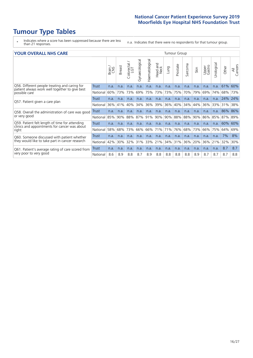# **Tumour Type Tables**

- \* Indicates where a score has been suppressed because there are less than 21 responses.
- n.a. Indicates that there were no respondents for that tumour group.

#### **YOUR OVERALL NHS CARE** THE CONSTRUCTION OF THE THROUP GROUP TUMOUR GROUP

| I OON OVERALL NI IS CARL                                                                        |              |       |               |                              |                |                |                         |      | iuiivui vivup |         |      |                 |           |         |                |
|-------------------------------------------------------------------------------------------------|--------------|-------|---------------|------------------------------|----------------|----------------|-------------------------|------|---------------|---------|------|-----------------|-----------|---------|----------------|
|                                                                                                 |              | Brain | <b>Breast</b> | ╮<br>olorectal /<br>LGT<br>Ũ | Gynaecological | Haematological | aad and<br>Neck<br>Head | Lung | Prostate      | Sarcoma | Skin | Upper<br>Gastro | Urologica | Other   | All<br>Cancers |
| Q56. Different people treating and caring for<br>patient always work well together to give best | <b>Trust</b> | n.a.  | n.a.          | n.a.                         | n.a.           | n.a.           | n.a.                    | n.a. | n.a.          | n.a.    | n.a. | n.a.            | n.a.      | 61%     | 60%            |
| possible care                                                                                   | National     | 60%   | 73%           | 73%                          | 69%            | 75%            | 73%                     | 73%  | 75%           | 70%     | 79%  | 69%             | 74%       | 68%     | 73%            |
| Q57. Patient given a care plan                                                                  | <b>Trust</b> | n.a.  | n.a.          | n.a.                         | n.a.           | n.a.           | n.a.                    | n.a. | n.a.          | n.a.    | n.a. | n.a.            | n.a.      | 24%     | 24%            |
|                                                                                                 | National     | 36%   | 41%           | 40%                          | 34%            | 36%            | 39%                     | 36%  | 40%           | 34%     | 44%  | 36%             | 33%       | 31%     | 38%            |
| Q58. Overall the administration of care was good                                                | Trust        | n.a.  | n.a.          | n.a.                         | n.a.           | n.a.           | n.a.                    | n.a. | n.a.          | n.a.    | n.a. | n.a.            | n.a.      | 86% 86% |                |
| or very good                                                                                    | National     | 85%   | 90%           | 88%                          | 87%            | 91%            | 90%                     | 90%  | 88%           | 88%     | 90%  | 86%             | 85%       | 87%     | 89%            |
| Q59. Patient felt length of time for attending<br>clinics and appointments for cancer was about | Trust        | n.a.  | n.a.          | n.a.                         | n.a.           | n.a.           | n.a.                    | n.a. | n.a.          | n.a.    | n.a. | n.a.            | n.a.      | 60%     | 60%            |
| right                                                                                           | National     | 58%   | 68%           | 73%                          | 66%            | 66%            | 71%                     | 71%  | 76%           | 68%     | 73%  | 66%             | 75%       | 64%     | 69%            |
| Q60. Someone discussed with patient whether                                                     | Trust        | n.a.  | n.a.          | n.a.                         | n.a.           | n.a.           | n.a.                    | n.a. | n.a.          | n.a.    | n.a. | n.a.            | n.a.      | 7%      | 8%             |
| they would like to take part in cancer research                                                 | National     | 42%   | 30%           | 32%                          | 31%            |                | 33% 21%                 | 34%  | 31%           | 36%     | 20%  | 36%             | 21%       | 32%     | 30%            |
| Q61. Patient's average rating of care scored from                                               | Trust        | n.a.  | n.a.          | n.a.                         | n.a.           | n.a.           | n.a.                    | n.a. | n.a.          | n.a.    | n.a. | n.a.            | n.a.      | 8.7     | 8.7            |
| very poor to very good                                                                          | National     | 8.6   | 8.9           | 8.8                          | 8.7            | 8.9            | 8.8                     | 8.8  | 8.8           | 8.8     | 8.9  | 8.7             | 8.7       | 8.7     | 8.8            |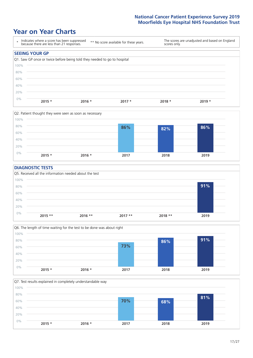### **Year on Year Charts**





#### **DIAGNOSTIC TESTS**





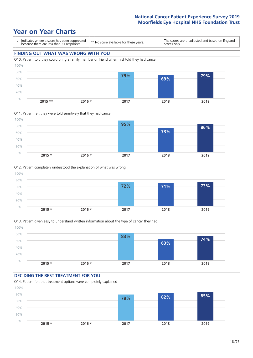







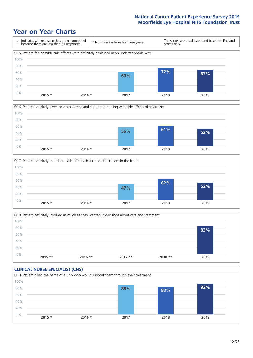







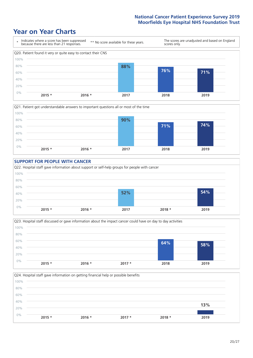







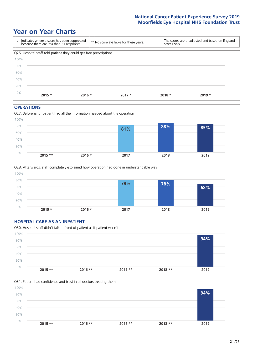# **Year on Year Charts**

| $\star$ | Indicates where a score has been suppressed<br>because there are less than 21 responses. | ** No score available for these years. |          | scores only. | The scores are unadjusted and based on England |
|---------|------------------------------------------------------------------------------------------|----------------------------------------|----------|--------------|------------------------------------------------|
|         | Q25. Hospital staff told patient they could get free prescriptions                       |                                        |          |              |                                                |
| 100%    |                                                                                          |                                        |          |              |                                                |
| 80%     |                                                                                          |                                        |          |              |                                                |
| 60%     |                                                                                          |                                        |          |              |                                                |
| 40%     |                                                                                          |                                        |          |              |                                                |
| 20%     |                                                                                          |                                        |          |              |                                                |
| 0%      | $2015 *$                                                                                 | $2016 *$                               | $2017 *$ | $2018 *$     | $2019 *$                                       |

#### **OPERATIONS**





|       | <b>HOSPITAL CARE AS AN INPATIENT</b> |                                                                                |          |          |      |  |
|-------|--------------------------------------|--------------------------------------------------------------------------------|----------|----------|------|--|
|       |                                      | Q30. Hospital staff didn't talk in front of patient as if patient wasn't there |          |          |      |  |
| 100%  |                                      |                                                                                |          |          |      |  |
| 80%   |                                      |                                                                                |          |          | 94%  |  |
| 60%   |                                      |                                                                                |          |          |      |  |
| 40%   |                                      |                                                                                |          |          |      |  |
| 20%   |                                      |                                                                                |          |          |      |  |
| $0\%$ |                                      |                                                                                |          |          |      |  |
|       | $2015$ **                            | $2016$ **                                                                      | $2017**$ | $2018**$ | 2019 |  |

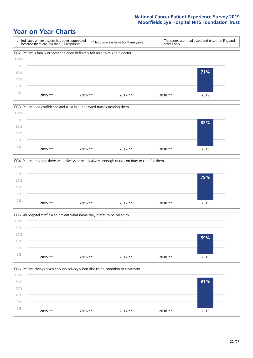







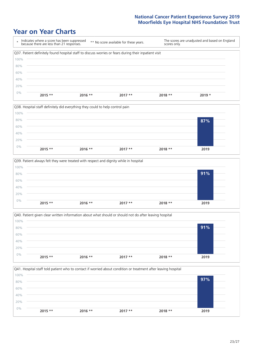| ÷    | Indicates where a score has been suppressed<br>because there are less than 21 responses.              | ** No score available for these years. |          | scores only. | The scores are unadjusted and based on England |
|------|-------------------------------------------------------------------------------------------------------|----------------------------------------|----------|--------------|------------------------------------------------|
|      | Q37. Patient definitely found hospital staff to discuss worries or fears during their inpatient visit |                                        |          |              |                                                |
| 100% |                                                                                                       |                                        |          |              |                                                |
| 80%  |                                                                                                       |                                        |          |              |                                                |
| 60%  |                                                                                                       |                                        |          |              |                                                |
| 40%  |                                                                                                       |                                        |          |              |                                                |
| 20%  |                                                                                                       |                                        |          |              |                                                |
| 0%   | $2015$ **<br>$2016$ **                                                                                |                                        | $2017**$ | 2018 **      | $2019 *$                                       |







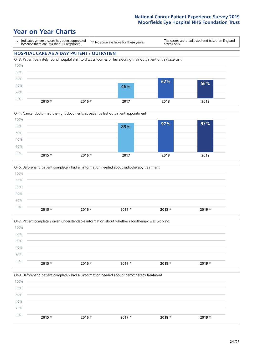### **Year on Year Charts**

\* Indicates where a score has been suppressed because there are less than 21 responses. \*\* No score available for these years. The scores are unadjusted and based on England scores only.







|       |          | Q47. Patient completely given understandable information about whether radiotherapy was working |          |          |          |  |
|-------|----------|-------------------------------------------------------------------------------------------------|----------|----------|----------|--|
| 100%  |          |                                                                                                 |          |          |          |  |
| 80%   |          |                                                                                                 |          |          |          |  |
| 60%   |          |                                                                                                 |          |          |          |  |
| 40%   |          |                                                                                                 |          |          |          |  |
| 20%   |          |                                                                                                 |          |          |          |  |
| $0\%$ | $2015 *$ | $2016 *$                                                                                        | $2017 *$ | $2018 *$ | $2019 *$ |  |
|       |          |                                                                                                 |          |          |          |  |

Q49. Beforehand patient completely had all information needed about chemotherapy treatment 0% 20% 40% 60% 80% 100% **2015 \* 2016 \* 2017 \* 2018 \* 2019 \***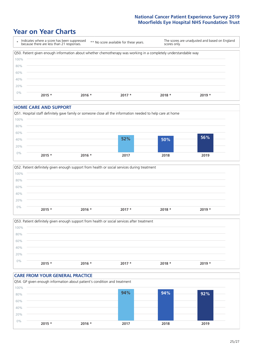## **Year on Year Charts**

|      | Indicates where a score has been suppressed<br>because there are less than 21 responses.                        | ** No score available for these years. | scores only. | The scores are unadjusted and based on England |
|------|-----------------------------------------------------------------------------------------------------------------|----------------------------------------|--------------|------------------------------------------------|
|      | Q50. Patient given enough information about whether chemotherapy was working in a completely understandable way |                                        |              |                                                |
| 100% |                                                                                                                 |                                        |              |                                                |
| 80%  |                                                                                                                 |                                        |              |                                                |
| 60%  |                                                                                                                 |                                        |              |                                                |
| 40%  |                                                                                                                 |                                        |              |                                                |
| 20%  |                                                                                                                 |                                        |              |                                                |
| 0%   | $2015 *$<br>$2016 *$                                                                                            | $2017 *$                               | $2018*$      | $2019 *$                                       |

#### **HOME CARE AND SUPPORT**







#### **CARE FROM YOUR GENERAL PRACTICE** Q54. GP given enough information about patient's condition and treatment 60% 80% 100% **94% 94% 92%**

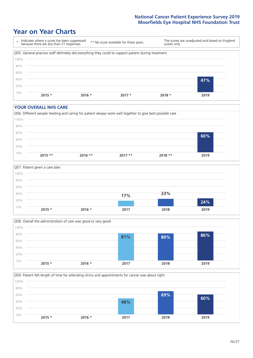### **Year on Year Charts**



#### **YOUR OVERALL NHS CARE**